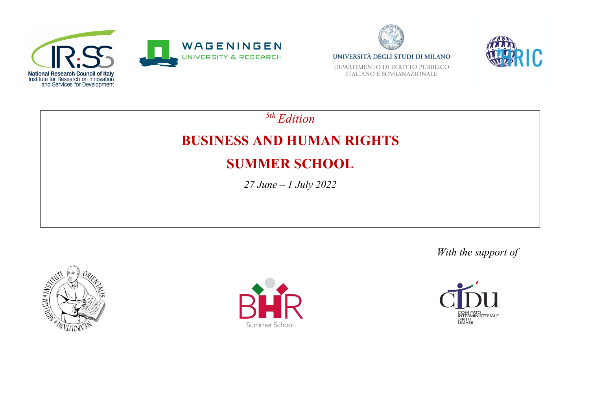





*5th Edition*

## **BUSINESS AND HUMAN RIGHTS**

## **SUMMER SCHOOL**

*27 June – 1 July 2022*

**REAL PROPERTY AND INTERNATIONAL PROPERTY** 



*With the support of*

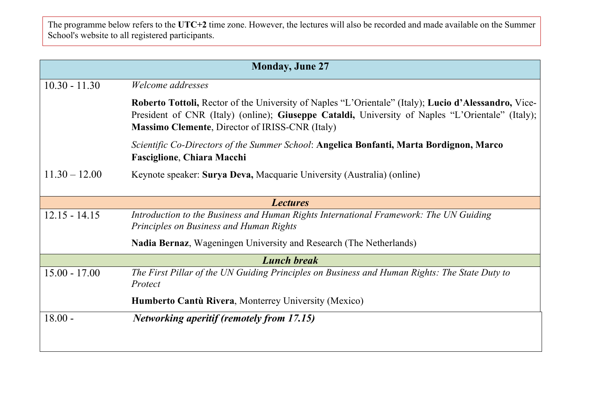The programme below refers to the **UTC+2** time zone. However, the lectures will also be recorded and made available on the Summer School's website to all registered participants.

| <b>Monday, June 27</b> |                                                                                                                                                                                                                                                                           |  |
|------------------------|---------------------------------------------------------------------------------------------------------------------------------------------------------------------------------------------------------------------------------------------------------------------------|--|
| $10.30 - 11.30$        | Welcome addresses                                                                                                                                                                                                                                                         |  |
|                        | <b>Roberto Tottoli, Rector of the University of Naples "L'Orientale" (Italy); Lucio d'Alessandro, Vice-</b><br>President of CNR (Italy) (online); Giuseppe Cataldi, University of Naples "L'Orientale" (Italy);<br><b>Massimo Clemente, Director of IRISS-CNR (Italy)</b> |  |
|                        | Scientific Co-Directors of the Summer School: Angelica Bonfanti, Marta Bordignon, Marco<br><b>Fasciglione, Chiara Macchi</b>                                                                                                                                              |  |
| $11.30 - 12.00$        | Keynote speaker: Surya Deva, Macquarie University (Australia) (online)                                                                                                                                                                                                    |  |
| <b>Lectures</b>        |                                                                                                                                                                                                                                                                           |  |
| $12.15 - 14.15$        | Introduction to the Business and Human Rights International Framework: The UN Guiding<br>Principles on Business and Human Rights                                                                                                                                          |  |
|                        | Nadia Bernaz, Wageningen University and Research (The Netherlands)                                                                                                                                                                                                        |  |
| <b>Lunch break</b>     |                                                                                                                                                                                                                                                                           |  |
| $15.00 - 17.00$        | The First Pillar of the UN Guiding Principles on Business and Human Rights: The State Duty to<br>Protect                                                                                                                                                                  |  |
|                        | Humberto Cantù Rivera, Monterrey University (Mexico)                                                                                                                                                                                                                      |  |
| $18.00 -$              | <b>Networking aperitif (remotely from 17.15)</b>                                                                                                                                                                                                                          |  |
|                        |                                                                                                                                                                                                                                                                           |  |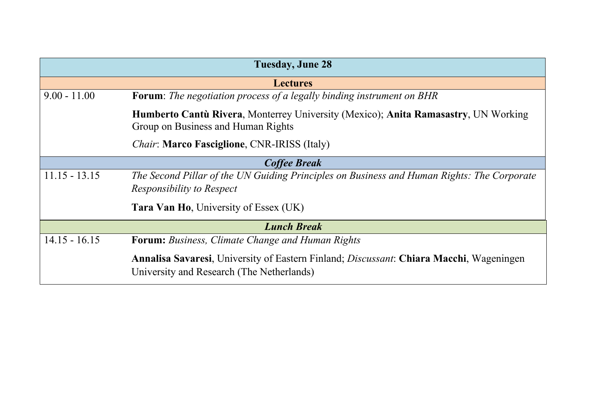| <b>Tuesday, June 28</b> |                                                                                                                                              |  |
|-------------------------|----------------------------------------------------------------------------------------------------------------------------------------------|--|
| <b>Lectures</b>         |                                                                                                                                              |  |
| $9.00 - 11.00$          | <b>Forum:</b> The negotiation process of a legally binding instrument on BHR                                                                 |  |
|                         | Humberto Cantù Rivera, Monterrey University (Mexico); Anita Ramasastry, UN Working<br>Group on Business and Human Rights                     |  |
|                         | <i>Chair:</i> Marco Fasciglione, CNR-IRISS (Italy)                                                                                           |  |
| <b>Coffee Break</b>     |                                                                                                                                              |  |
| $11.15 - 13.15$         | The Second Pillar of the UN Guiding Principles on Business and Human Rights: The Corporate<br>Responsibility to Respect                      |  |
|                         | <b>Tara Van Ho, University of Essex (UK)</b>                                                                                                 |  |
| <b>Lunch Break</b>      |                                                                                                                                              |  |
| $14.15 - 16.15$         | Forum: Business, Climate Change and Human Rights                                                                                             |  |
|                         | Annalisa Savaresi, University of Eastern Finland; <i>Discussant</i> : Chiara Macchi, Wageningen<br>University and Research (The Netherlands) |  |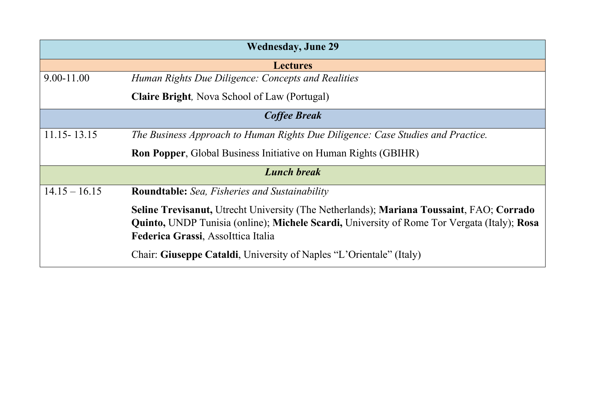| <b>Wednesday, June 29</b> |                                                                                                                                                                                                                               |  |
|---------------------------|-------------------------------------------------------------------------------------------------------------------------------------------------------------------------------------------------------------------------------|--|
| <b>Lectures</b>           |                                                                                                                                                                                                                               |  |
| 9.00-11.00                | Human Rights Due Diligence: Concepts and Realities                                                                                                                                                                            |  |
|                           | <b>Claire Bright, Nova School of Law (Portugal)</b>                                                                                                                                                                           |  |
|                           | <b>Coffee Break</b>                                                                                                                                                                                                           |  |
| 11.15 - 13.15             | The Business Approach to Human Rights Due Diligence: Case Studies and Practice.                                                                                                                                               |  |
|                           | <b>Ron Popper, Global Business Initiative on Human Rights (GBIHR)</b>                                                                                                                                                         |  |
| <b>Lunch break</b>        |                                                                                                                                                                                                                               |  |
| $14.15 - 16.15$           | <b>Roundtable:</b> Sea, Fisheries and Sustainability                                                                                                                                                                          |  |
|                           | Seline Trevisanut, Utrecht University (The Netherlands); Mariana Toussaint, FAO; Corrado<br>Quinto, UNDP Tunisia (online); Michele Scardi, University of Rome Tor Vergata (Italy); Rosa<br>Federica Grassi, Assolttica Italia |  |
|                           | Chair: Giuseppe Cataldi, University of Naples "L'Orientale" (Italy)                                                                                                                                                           |  |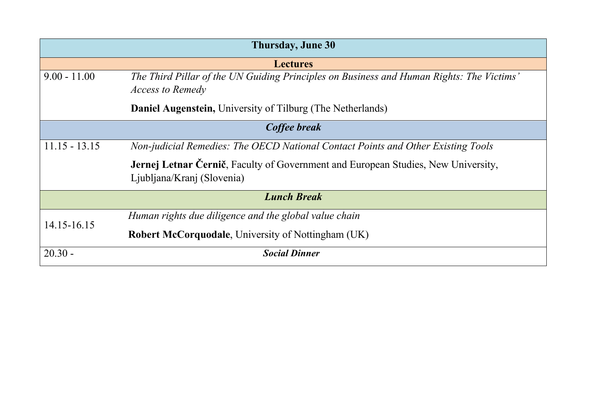| <b>Thursday, June 30</b> |                                                                                                                     |  |
|--------------------------|---------------------------------------------------------------------------------------------------------------------|--|
| <b>Lectures</b>          |                                                                                                                     |  |
| $9.00 - 11.00$           | The Third Pillar of the UN Guiding Principles on Business and Human Rights: The Victims'<br><b>Access to Remedy</b> |  |
|                          | <b>Daniel Augenstein, University of Tilburg (The Netherlands)</b>                                                   |  |
| Coffee break             |                                                                                                                     |  |
| $11.15 - 13.15$          | Non-judicial Remedies: The OECD National Contact Points and Other Existing Tools                                    |  |
|                          | Jernej Letnar Černič, Faculty of Government and European Studies, New University,<br>Ljubljana/Kranj (Slovenia)     |  |
| <b>Lunch Break</b>       |                                                                                                                     |  |
| 14.15-16.15              | Human rights due diligence and the global value chain                                                               |  |
|                          | <b>Robert McCorquodale, University of Nottingham (UK)</b>                                                           |  |
| $20.30 -$                | <b>Social Dinner</b>                                                                                                |  |